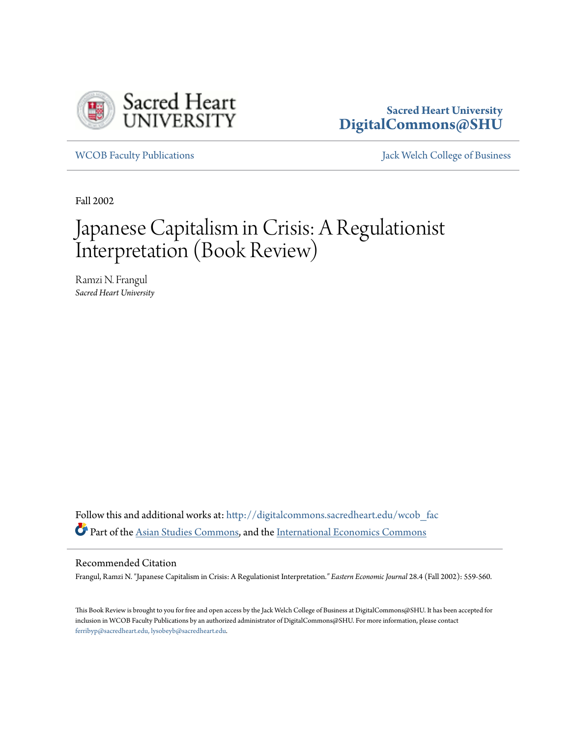

## **Sacred Heart University [DigitalCommons@SHU](http://digitalcommons.sacredheart.edu?utm_source=digitalcommons.sacredheart.edu%2Fwcob_fac%2F327&utm_medium=PDF&utm_campaign=PDFCoverPages)**

[WCOB Faculty Publications](http://digitalcommons.sacredheart.edu/wcob_fac?utm_source=digitalcommons.sacredheart.edu%2Fwcob_fac%2F327&utm_medium=PDF&utm_campaign=PDFCoverPages) [Jack Welch College of Business](http://digitalcommons.sacredheart.edu/wcob?utm_source=digitalcommons.sacredheart.edu%2Fwcob_fac%2F327&utm_medium=PDF&utm_campaign=PDFCoverPages)

Fall 2002

## Japanese Capitalism in Crisis: A Regulationist Interpretation (Book Review)

Ramzi N. Frangul *Sacred Heart University*

Follow this and additional works at: [http://digitalcommons.sacredheart.edu/wcob\\_fac](http://digitalcommons.sacredheart.edu/wcob_fac?utm_source=digitalcommons.sacredheart.edu%2Fwcob_fac%2F327&utm_medium=PDF&utm_campaign=PDFCoverPages) Part of the [Asian Studies Commons,](http://network.bepress.com/hgg/discipline/361?utm_source=digitalcommons.sacredheart.edu%2Fwcob_fac%2F327&utm_medium=PDF&utm_campaign=PDFCoverPages) and the [International Economics Commons](http://network.bepress.com/hgg/discipline/348?utm_source=digitalcommons.sacredheart.edu%2Fwcob_fac%2F327&utm_medium=PDF&utm_campaign=PDFCoverPages)

## Recommended Citation

Frangul, Ramzi N. "Japanese Capitalism in Crisis: A Regulationist Interpretation*." Eastern Economic Journal* 28.4 (Fall 2002): 559-560.

This Book Review is brought to you for free and open access by the Jack Welch College of Business at DigitalCommons@SHU. It has been accepted for inclusion in WCOB Faculty Publications by an authorized administrator of DigitalCommons@SHU. For more information, please contact [ferribyp@sacredheart.edu, lysobeyb@sacredheart.edu.](mailto:ferribyp@sacredheart.edu,%20lysobeyb@sacredheart.edu)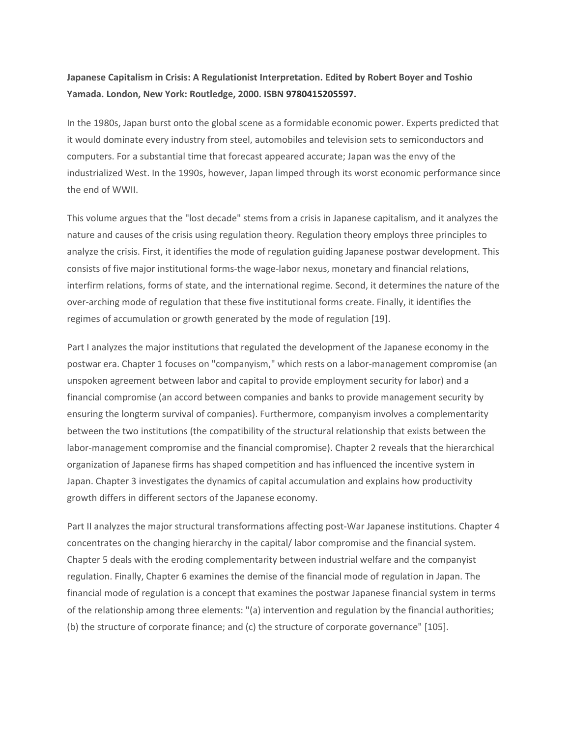## Japanese Capitalism in Crisis: A Regulationist Interpretation. Edited by Robert Boyer and Toshio Yamada. London, New York: Routledge, 2000. ISBN 9780415205597.

In the 1980s, Japan burst onto the global scene as a formidable economic power. Experts predicted that it would dominate every industry from steel, automobiles and television sets to semiconductors and computers. For a substantial time that forecast appeared accurate; Japan was the envy of the industrialized West. In the 1990s, however, Japan limped through its worst economic performance since the end of WWII.

This volume argues that the "lost decade" stems from a crisis in Japanese capitalism, and it analyzes the nature and causes of the crisis using regulation theory. Regulation theory employs three principles to analyze the crisis. First, it identifies the mode of regulation guiding Japanese postwar development. This consists of five major institutional forms-the wage-labor nexus, monetary and financial relations, interfirm relations, forms of state, and the international regime. Second, it determines the nature of the over-arching mode of regulation that these five institutional forms create. Finally, it identifies the regimes of accumulation or growth generated by the mode of regulation [19].

Part I analyzes the major institutions that regulated the development of the Japanese economy in the postwar era. Chapter 1 focuses on "companyism," which rests on a labor-management compromise (an unspoken agreement between labor and capital to provide employment security for labor) and a financial compromise (an accord between companies and banks to provide management security by ensuring the longterm survival of companies). Furthermore, companyism involves a complementarity between the two institutions (the compatibility of the structural relationship that exists between the labor-management compromise and the financial compromise). Chapter 2 reveals that the hierarchical organization of Japanese firms has shaped competition and has influenced the incentive system in Japan. Chapter 3 investigates the dynamics of capital accumulation and explains how productivity growth differs in different sectors of the Japanese economy.

Part II analyzes the major structural transformations affecting post-War Japanese institutions. Chapter 4 concentrates on the changing hierarchy in the capital/ labor compromise and the financial system. Chapter 5 deals with the eroding complementarity between industrial welfare and the companyist regulation. Finally, Chapter 6 examines the demise of the financial mode of regulation in Japan. The financial mode of regulation is a concept that examines the postwar Japanese financial system in terms of the relationship among three elements: "(a) intervention and regulation by the financial authorities; (b) the structure of corporate finance; and (c) the structure of corporate governance" [105].